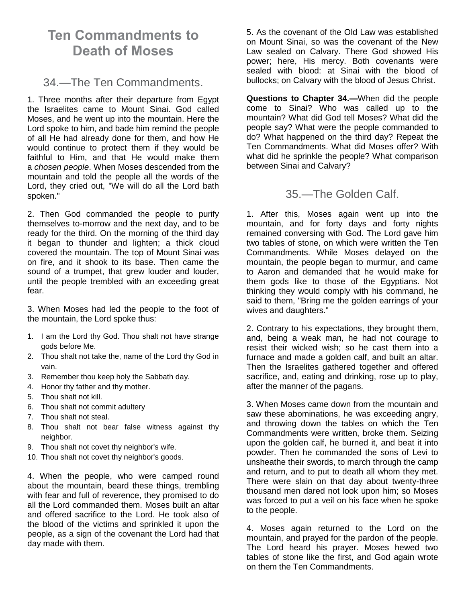# **Ten Commandments to Death of Moses**

## 34.—The Ten Commandments.

1. Three months after their departure from Egypt the Israelites came to Mount Sinai. God called Moses, and he went up into the mountain. Here the Lord spoke to him, and bade him remind the people of all He had already done for them, and how He would continue to protect them if they would be faithful to Him, and that He would make them a *chosen people*. When Moses descended from the mountain and told the people all the words of the Lord, they cried out, "We will do all the Lord bath spoken."

2. Then God commanded the people to purify themselves to-morrow and the next day, and to be ready for the third. On the morning of the third day it began to thunder and lighten; a thick cloud covered the mountain. The top of Mount Sinai was on fire, and it shook to its base. Then came the sound of a trumpet, that grew louder and louder, until the people trembled with an exceeding great fear.

3. When Moses had led the people to the foot of the mountain, the Lord spoke thus:

- 1. I am the Lord thy God. Thou shalt not have strange gods before Me.
- 2. Thou shalt not take the, name of the Lord thy God in vain.
- 3. Remember thou keep holy the Sabbath day.
- 4. Honor thy father and thy mother.
- 5. Thou shalt not kill.
- 6. Thou shalt not commit adultery
- 7. Thou shalt not steal.
- 8. Thou shalt not bear false witness against thy neighbor.
- 9. Thou shalt not covet thy neighbor's wife.
- 10. Thou shalt not covet thy neighbor's goods.

4. When the people, who were camped round about the mountain, beard these things, trembling with fear and full of reverence, they promised to do all the Lord commanded them. Moses built an altar and offered sacrifice to the Lord. He took also of the blood of the victims and sprinkled it upon the people, as a sign of the covenant the Lord had that day made with them.

5. As the covenant of the Old Law was established on Mount Sinai, so was the covenant of the New Law sealed on Calvary. There God showed His power; here, His mercy. Both covenants were sealed with blood: at Sinai with the blood of bullocks; on Calvary with the blood of Jesus Christ.

**Questions to Chapter 34.—**When did the people come to Sinai? Who was called up to the mountain? What did God tell Moses? What did the people say? What were the people commanded to do? What happened on the third day? Repeat the Ten Commandments. What did Moses offer? With what did he sprinkle the people? What comparison between Sinai and Calvary?

35.—The Golden Calf.

1. After this, Moses again went up into the mountain, and for forty days and forty nights remained conversing with God. The Lord gave him two tables of stone, on which were written the Ten Commandments. While Moses delayed on the mountain, the people began to murmur, and came to Aaron and demanded that he would make for them gods like to those of the Egyptians. Not thinking they would comply with his command, he said to them, "Bring me the golden earrings of your wives and daughters."

2. Contrary to his expectations, they brought them, and, being a weak man, he had not courage to resist their wicked wish; so he cast them into a furnace and made a golden calf, and built an altar. Then the Israelites gathered together and offered sacrifice, and, eating and drinking, rose up to play, after the manner of the pagans.

3. When Moses came down from the mountain and saw these abominations, he was exceeding angry, and throwing down the tables on which the Ten Commandments were written, broke them. Seizing upon the golden calf, he burned it, and beat it into powder. Then he commanded the sons of Levi to unsheathe their swords, to march through the camp and return, and to put to death all whom they met. There were slain on that day about twenty-three thousand men dared not look upon him; so Moses was forced to put a veil on his face when he spoke to the people.

4. Moses again returned to the Lord on the mountain, and prayed for the pardon of the people. The Lord heard his prayer. Moses hewed two tables of stone like the first, and God again wrote on them the Ten Commandments.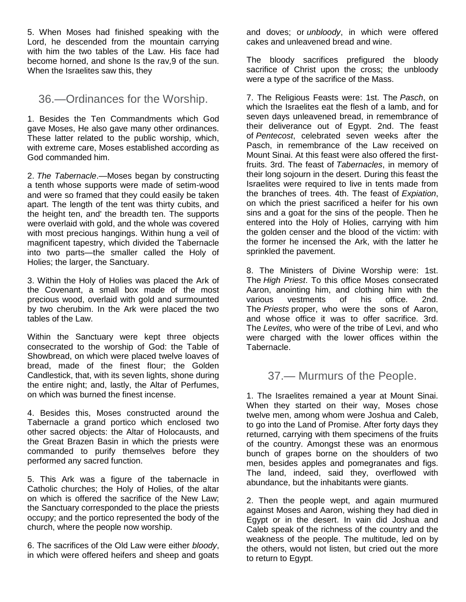5. When Moses had finished speaking with the Lord, he descended from the mountain carrying with him the two tables of the Law. His face had become horned, and shone Is the rav,9 of the sun. When the Israelites saw this, they

36.—Ordinances for the Worship.

1. Besides the Ten Commandments which God gave Moses, He also gave many other ordinances. These latter related to the public worship, which, with extreme care, Moses established according as God commanded him.

2. *The Tabernacle*.—Moses began by constructing a tenth whose supports were made of setim-wood and were so framed that they could easily be taken apart. The length of the tent was thirty cubits, and the height ten, and' the breadth ten. The supports were overlaid with gold, and the whole was covered with most precious hangings. Within hung a veil of magnificent tapestry, which divided the Tabernacle into two parts—the smaller called the Holy of Holies; the larger, the Sanctuary.

3. Within the Holy of Holies was placed the Ark of the Covenant, a small box made of the most precious wood, overlaid with gold and surmounted by two cherubim. In the Ark were placed the two tables of the Law.

Within the Sanctuary were kept three objects consecrated to the worship of God: the Table of Showbread, on which were placed twelve loaves of bread, made of the finest flour; the Golden Candlestick, that, with its seven lights, shone during the entire night; and, lastly, the Altar of Perfumes, on which was burned the finest incense.

4. Besides this, Moses constructed around the Tabernacle a grand portico which enclosed two other sacred objects: the Altar of Holocausts, and the Great Brazen Basin in which the priests were commanded to purify themselves before they performed any sacred function.

5. This Ark was a figure of the tabernacle in Catholic churches; the Holy of Holies, of the altar on which is offered the sacrifice of the New Law; the Sanctuary corresponded to the place the priests occupy; and the portico represented the body of the church, where the people now worship.

6. The sacrifices of the Old Law were either *bloody*, in which were offered heifers and sheep and goats and doves; or *unbloody*, in which were offered cakes and unleavened bread and wine.

The bloody sacrifices prefigured the bloody sacrifice of Christ upon the cross; the unbloody were a type of the sacrifice of the Mass.

7. The Religious Feasts were: 1st. The *Pasch*, on which the Israelites eat the flesh of a lamb, and for seven days unleavened bread, in remembrance of their deliverance out of Egypt. 2nd. The feast of *Pentecost*, celebrated seven weeks after the Pasch, in remembrance of the Law received on Mount Sinai. At this feast were also offered the firstfruits. 3rd. The feast of *Tabernacles*, in memory of their long sojourn in the desert. During this feast the Israelites were required to live in tents made from the branches of trees. 4th. The feast of *Expiation*, on which the priest sacrificed a heifer for his own sins and a goat for the sins of the people. Then he entered into the Holy of Holies, carrying with him the golden censer and the blood of the victim: with the former he incensed the Ark, with the latter he sprinkled the pavement.

8. The Ministers of Divine Worship were: 1st. The *High Priest*. To this office Moses consecrated Aaron, anointing him, and clothing him with the various vestments of his office. 2nd. The *Priests* proper, who were the sons of Aaron, and whose office it was to offer sacrifice. 3rd. The *Levites*, who were of the tribe of Levi, and who were charged with the lower offices within the Tabernacle.

37.— Murmurs of the People.

1. The Israelites remained a year at Mount Sinai. When they started on their way, Moses chose twelve men, among whom were Joshua and Caleb, to go into the Land of Promise. After forty days they returned, carrying with them specimens of the fruits of the country. Amongst these was an enormous bunch of grapes borne on the shoulders of two men, besides apples and pomegranates and figs. The land, indeed, said they, overflowed with abundance, but the inhabitants were giants.

2. Then the people wept, and again murmured against Moses and Aaron, wishing they had died in Egypt or in the desert. In vain did Joshua and Caleb speak of the richness of the country and the weakness of the people. The multitude, led on by the others, would not listen, but cried out the more to return to Egypt.